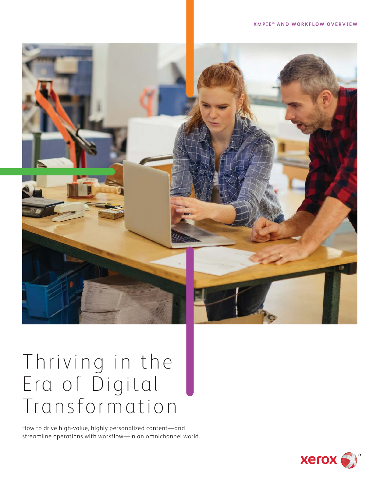

# Thriving in the Era of Digital Transformation

How to drive high-value, highly personalized content—and streamline operations with workflow—in an omnichannel world.

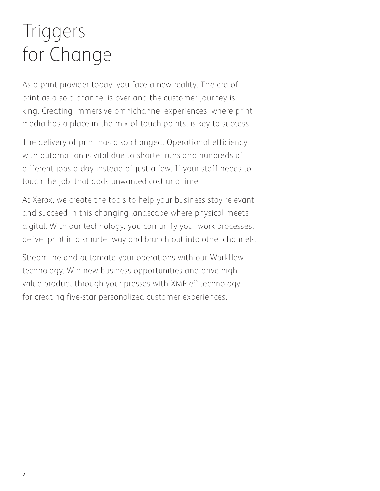# Triggers for Change

As a print provider today, you face a new reality. The era of print as a solo channel is over and the customer journey is king. Creating immersive omnichannel experiences, where print media has a place in the mix of touch points, is key to success.

The delivery of print has also changed. Operational efficiency with automation is vital due to shorter runs and hundreds of different jobs a day instead of just a few. If your staff needs to touch the job, that adds unwanted cost and time.

At Xerox, we create the tools to help your business stay relevant and succeed in this changing landscape where physical meets digital. With our technology, you can unify your work processes, deliver print in a smarter way and branch out into other channels.

Streamline and automate your operations with our Workflow technology. Win new business opportunities and drive high value product through your presses with XMPie® technology for creating five-star personalized customer experiences.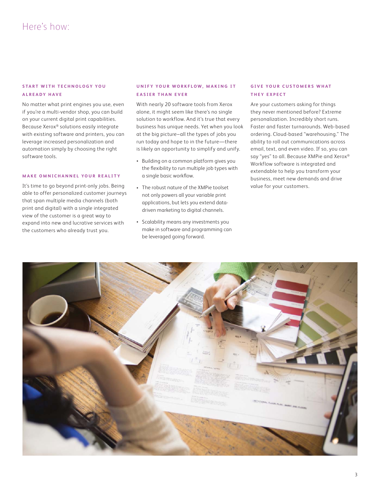# **START WITH TECHNOLOGY YOU A L R E A D Y H A V E**

No matter what print engines you use, even if you're a multi-vendor shop, you can build on your current digital print capabilities. Because Xerox® solutions easily integrate with existing software and printers, you can leverage increased personalization and automation simply by choosing the right software tools.

#### **MAKE OMNICHANNEL YOUR REALITY**

It's time to go beyond print-only jobs. Being able to offer personalized customer journeys that span multiple media channels (both print and digital) with a single integrated view of the customer is a great way to expand into new and lucrative services with the customers who already trust you.

# **UNIFY YOUR WORKFLOW, MAKING IT EASIER THAN EVER**

With nearly 20 software tools from Xerox alone, it might seem like there's no single solution to workflow. And it's true that every business has unique needs. Yet when you look at the big picture–all the types of jobs you run today and hope to in the future—there is likely an opportunity to simplify and unify.

- Building on a common platform gives you the flexibility to run multiple job types with a single basic workflow.
- The robust nature of the XMPie toolset not only powers all your variable print applications, but lets you extend datadriven marketing to digital channels.
- Scalability means any investments you make in software and programming can be leveraged going forward.

## **GIVE YOUR CUSTOMERS WHAT T H E Y E X P E C T**

Are your customers asking for things they never mentioned before? Extreme personalization. Incredibly short runs. Faster and faster turnarounds. Web-based ordering. Cloud-based "warehousing." The ability to roll out communications across email, text, and even video. If so, you can say "yes" to all. Because XMPie and Xerox® Workflow software is integrated and extendable to help you transform your business, meet new demands and drive value for your customers.

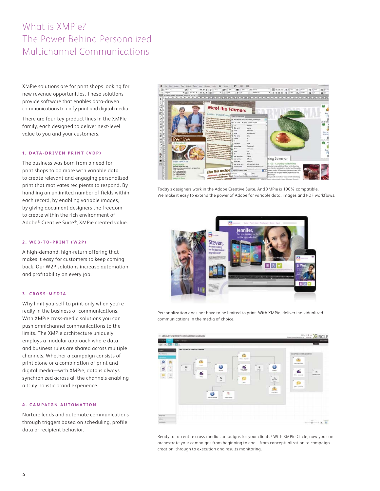# What is XMPie? The Power Behind Personalized Multichannel Communications

XMPie solutions are for print shops looking for new revenue opportunities. These solutions provide software that enables data-driven communications to unify print and digital media.

There are four key product lines in the XMPie family, each designed to deliver next-level value to you and your customers.

## 1. DATA-DRIVEN PRINT (VDP)

The business was born from a need for print shops to do more with variable data to create relevant and engaging personalized print that motivates recipients to respond. By handling an unlimited number of fields within each record, by enabling variable images, by giving document designers the freedom to create within the rich environment of Adobe® Creative Suite®, XMPie created value.

#### **2. WEB-TO-PRINT (W2P)**

A high-demand, high-return offering that makes it easy for customers to keep coming back. Our W2P solutions increase automation and profitability on every job.

#### **3. CROSS-MEDIA**

Why limit yourself to print-only when you're really in the business of communications. With XMPie cross-media solutions you can push omnichannel communications to the limits. The XMPie architecture uniquely employs a modular approach where data and business rules are shared across multiple channels. Whether a campaign consists of print alone or a combination of print and digital media—with XMPie, data is always synchronized across all the channels enabling a truly holistic brand experience.

#### **4. CAMPAIGN AUTOMATION**

Nurture leads and automate communications through triggers based on scheduling, profile data or recipient behavior.



Today's designers work in the Adobe Creative Suite. And XMPie is 100% compatible. We make it easy to extend the power of Adobe for variable data, images and PDF workflows.



Personalization does not have to be limited to print. With XMPie, deliver individualized communications in the media of choice.



Ready to run entire cross-media campaigns for your clients? With XMPie Circle, now you can orchestrate your campaigns from beginning to end—from conceptualization to campaign creation, through to execution and results monitoring.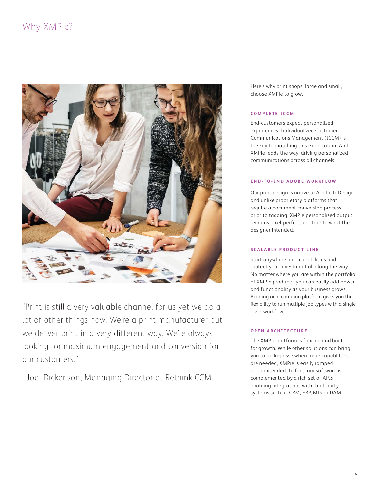# Why XMPie?



"Print is still a very valuable channel for us yet we do a lot of other things now. We're a print manufacturer but we deliver print in a very different way. We're always looking for maximum engagement and conversion for our customers."

–Joel Dickenson, Managing Director at Rethink CCM

Here's why print shops, large and small, choose XMPie to grow.

#### **COMPLETE ICCM**

End-customers expect personalized experiences. Individualized Customer Communications Management (ICCM) is the key to matching this expectation. And XMPie leads the way, driving personalized communications across all channels.

## **END-TO-END ADOBE WORKFLOW**

Our print design is native to Adobe InDesign and unlike proprietary platforms that require a document conversion process prior to tagging, XMPie personalized output remains pixel-perfect and true to what the designer intended.

## **S C A L A B L E P R O D U C T L I N E**

Start anywhere, add capabilities and protect your investment all along the way. No matter where you are within the portfolio of XMPie products, you can easily add power and functionality as your business grows. Building on a common platform gives you the flexibility to run multiple job types with a single basic workflow.

## **OPEN ARCHITECTURE**

The XMPie platform is flexible and built for growth. While other solutions can bring you to an impasse when more capabilities are needed, XMPie is easily ramped up or extended. In fact, our software is complemented by a rich set of APIs enabling integrations with third-party systems such as CRM, ERP, MIS or DAM.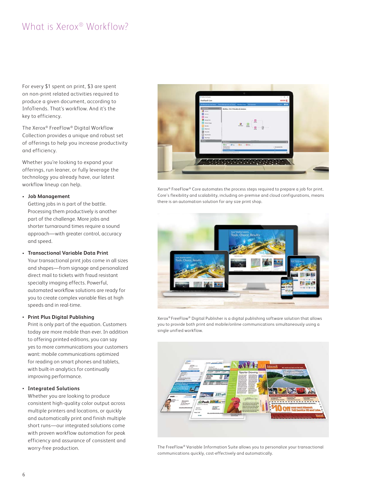# What is Xerox® Workflow?

For every \$1 spent on print, \$3 are spent on non-print related activities required to produce a given document, according to InfoTrends. That's workflow. And it's the key to efficiency.

The Xerox® FreeFlow® Digital Workflow Collection provides a unique and robust set of offerings to help you increase productivity and efficiency.

Whether you're looking to expand your offerings, run leaner, or fully leverage the technology you already have, our latest workflow lineup can help.

#### **• Job Management**

Getting jobs in is part of the battle. Processing them productively is another part of the challenge. More jobs and shorter turnaround times require a sound approach—with greater control, accuracy and speed.

### **• Transactional Variable Data Print**

Your transactional print jobs come in all sizes and shapes—from signage and personalized direct mail to tickets with fraud resistant specialty imaging effects. Powerful, automated workflow solutions are ready for you to create complex variable files at high speeds and in real-time.

#### **• Print Plus Digital Publishing**

Print is only part of the equation. Customers today are more mobile than ever. In addition to offering printed editions, you can say yes to more communications your customers want: mobile communications optimized for reading on smart phones and tablets, with built-in analytics for continually improving performance.

#### **• Integrated Solutions**

Whether you are looking to produce consistent high-quality color output across multiple printers and locations, or quickly and automatically print and finish multiple short runs—our integrated solutions come with proven workflow automation for peak efficiency and assurance of consistent and worry-free production.



Xerox® FreeFlow® Core automates the process steps required to prepare a job for print. Core's flexibility and scalability, including on-premise and cloud configurations, means there is an automation solution for any size print shop.



Xerox® FreeFlow® Digital Publisher is a digital publishing software solution that allows you to provide both print and mobile/online communications simultaneously using a single unified workflow.



The FreeFlow® Variable Information Suite allows you to personalize your transactional communications quickly, cost-effectively and automatically.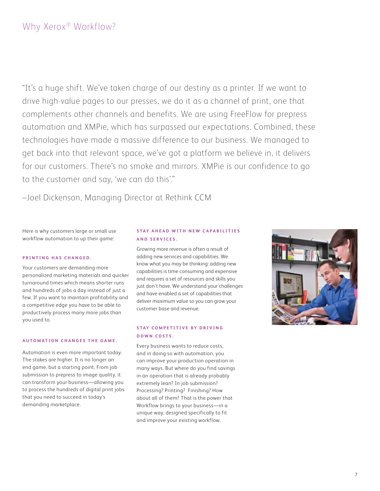# Why Xerox<sup>®</sup> Workflow?

"It's a huge shift. We've taken charge of our destiny as a printer. If we want to drive high-value pages to our presses, we do it as a channel of print, one that complements other channels and benefits. We are using FreeFlow for prepress automation and XMPie, which has surpassed our expectations. Combined, these technologies have made a massive difference to our business. We managed to get back into that relevant space, we've got a platform we believe in, it delivers for our customers. There's no smoke and mirrors. XMPie is our confidence to go to the customer and say, 'we can do this'."

–Joel Dickenson, Managing Director at Rethink CCM

Here is why customers large or small use workflow automation to up their game:

#### **PRINTING HAS CHANGED.**

Your customers are demanding more personalized marketing materials and quicker turnaround times which means shorter runs and hundreds of jobs a day instead of just a few. If you want to maintain profitability and a competitive edge you have to be able to productively process many more jobs than you used to.

#### **A U T O M AT I O N C H A N G E S T H E G A M E .**

Automation is even more important today. The stakes are higher. It is no longer an end game, but a starting point. From job submission to prepress to image quality, it can transform your business—allowing you to process the hundreds of digital print jobs that you need to succeed in today's demanding marketplace.

## **STAY AHEAD WITH NEW CAPABILITIES A N D S E R V I C E S .**

Growing more revenue is often a result of adding new services and capabilities. We know what you may be thinking: adding new capabilities is time consuming and expensive and requires a set of resources and skills you just don't have. We understand your challenges and have enabled a set of capabilities that deliver maximum value so you can grow your customer base and revenue.

## **STAY COMPETITIVE BY DRIVING DOWN COSTS.**

Every business wants to reduce costs, and in doing so with automation, you can improve your production operation in many ways. But where do you find savings in an operation that is already probably extremely lean? In job submission? Processing? Printing? Finishing? How about all of them? That is the power that Workflow brings to your business—in a unique way, designed specifically to fit and improve your existing workflow.